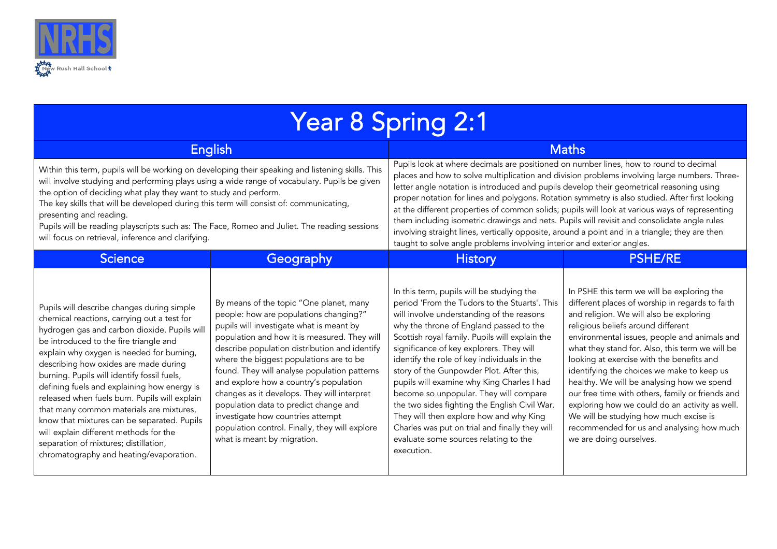

| <b>Year 8 Spring 2:1</b>                                                                                                                                                                                                                                                                                                                                                                                                                                                                                                                                                                                                                          |                                                                                                                                                                                                                                                                                                                                                                                                                                                                                                                                                                                   |                                                                                                                                                                                                                                                                                                                                                                                                                                                                                                                                                                                                                                                                                                                                                                  |                                                                                                                                                                                                                                                                                                                                                                                                                                                                                                                                                                                                                                                    |  |  |
|---------------------------------------------------------------------------------------------------------------------------------------------------------------------------------------------------------------------------------------------------------------------------------------------------------------------------------------------------------------------------------------------------------------------------------------------------------------------------------------------------------------------------------------------------------------------------------------------------------------------------------------------------|-----------------------------------------------------------------------------------------------------------------------------------------------------------------------------------------------------------------------------------------------------------------------------------------------------------------------------------------------------------------------------------------------------------------------------------------------------------------------------------------------------------------------------------------------------------------------------------|------------------------------------------------------------------------------------------------------------------------------------------------------------------------------------------------------------------------------------------------------------------------------------------------------------------------------------------------------------------------------------------------------------------------------------------------------------------------------------------------------------------------------------------------------------------------------------------------------------------------------------------------------------------------------------------------------------------------------------------------------------------|----------------------------------------------------------------------------------------------------------------------------------------------------------------------------------------------------------------------------------------------------------------------------------------------------------------------------------------------------------------------------------------------------------------------------------------------------------------------------------------------------------------------------------------------------------------------------------------------------------------------------------------------------|--|--|
| <b>English</b>                                                                                                                                                                                                                                                                                                                                                                                                                                                                                                                                                                                                                                    |                                                                                                                                                                                                                                                                                                                                                                                                                                                                                                                                                                                   | <b>Maths</b>                                                                                                                                                                                                                                                                                                                                                                                                                                                                                                                                                                                                                                                                                                                                                     |                                                                                                                                                                                                                                                                                                                                                                                                                                                                                                                                                                                                                                                    |  |  |
| Within this term, pupils will be working on developing their speaking and listening skills. This<br>will involve studying and performing plays using a wide range of vocabulary. Pupils be given<br>the option of deciding what play they want to study and perform.<br>The key skills that will be developed during this term will consist of: communicating,<br>presenting and reading.<br>Pupils will be reading playscripts such as: The Face, Romeo and Juliet. The reading sessions<br>will focus on retrieval, inference and clarifying.                                                                                                   |                                                                                                                                                                                                                                                                                                                                                                                                                                                                                                                                                                                   | Pupils look at where decimals are positioned on number lines, how to round to decimal<br>places and how to solve multiplication and division problems involving large numbers. Three-<br>letter angle notation is introduced and pupils develop their geometrical reasoning using<br>proper notation for lines and polygons. Rotation symmetry is also studied. After first looking<br>at the different properties of common solids; pupils will look at various ways of representing<br>them including isometric drawings and nets. Pupils will revisit and consolidate angle rules<br>involving straight lines, vertically opposite, around a point and in a triangle; they are then<br>taught to solve angle problems involving interior and exterior angles. |                                                                                                                                                                                                                                                                                                                                                                                                                                                                                                                                                                                                                                                    |  |  |
| <b>Science</b>                                                                                                                                                                                                                                                                                                                                                                                                                                                                                                                                                                                                                                    | Geography                                                                                                                                                                                                                                                                                                                                                                                                                                                                                                                                                                         | <b>History</b>                                                                                                                                                                                                                                                                                                                                                                                                                                                                                                                                                                                                                                                                                                                                                   | <b>PSHE/RE</b>                                                                                                                                                                                                                                                                                                                                                                                                                                                                                                                                                                                                                                     |  |  |
| Pupils will describe changes during simple<br>chemical reactions, carrying out a test for<br>hydrogen gas and carbon dioxide. Pupils will<br>be introduced to the fire triangle and<br>explain why oxygen is needed for burning,<br>describing how oxides are made during<br>burning. Pupils will identify fossil fuels,<br>defining fuels and explaining how energy is<br>released when fuels burn. Pupils will explain<br>that many common materials are mixtures,<br>know that mixtures can be separated. Pupils<br>will explain different methods for the<br>separation of mixtures; distillation,<br>chromatography and heating/evaporation. | By means of the topic "One planet, many<br>people: how are populations changing?"<br>pupils will investigate what is meant by<br>population and how it is measured. They will<br>describe population distribution and identify<br>where the biggest populations are to be<br>found. They will analyse population patterns<br>and explore how a country's population<br>changes as it develops. They will interpret<br>population data to predict change and<br>investigate how countries attempt<br>population control. Finally, they will explore<br>what is meant by migration. | In this term, pupils will be studying the<br>period 'From the Tudors to the Stuarts'. This<br>will involve understanding of the reasons<br>why the throne of England passed to the<br>Scottish royal family. Pupils will explain the<br>significance of key explorers. They will<br>identify the role of key individuals in the<br>story of the Gunpowder Plot. After this,<br>pupils will examine why King Charles I had<br>become so unpopular. They will compare<br>the two sides fighting the English Civil War.<br>They will then explore how and why King<br>Charles was put on trial and finally they will<br>evaluate some sources relating to the<br>execution.                                                                                         | In PSHE this term we will be exploring the<br>different places of worship in regards to faith<br>and religion. We will also be exploring<br>religious beliefs around different<br>environmental issues, people and animals and<br>what they stand for. Also, this term we will be<br>looking at exercise with the benefits and<br>identifying the choices we make to keep us<br>healthy. We will be analysing how we spend<br>our free time with others, family or friends and<br>exploring how we could do an activity as well.<br>We will be studying how much excise is<br>recommended for us and analysing how much<br>we are doing ourselves. |  |  |